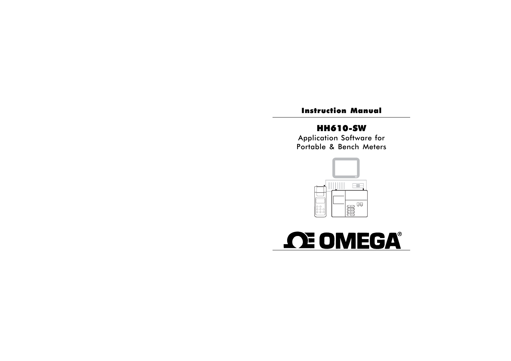## Instruction Manual

# HH610-SW

Application Software for Portable & Bench Meters



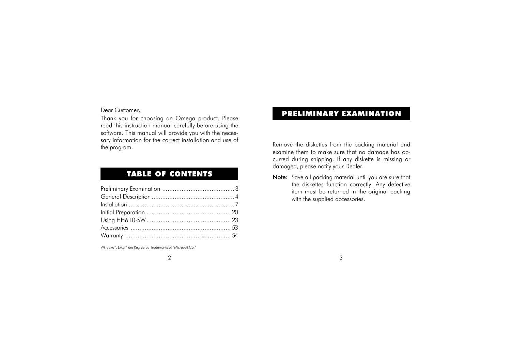Dear Customer,

Thank you for choosing an Omega product. Please read this instruction manual carefully before using the software. This manual will provide you with the necessary information for the correct installation and use of the program.

## TABLE OF CONTENTS

Windows®, Excel® are Registered Trademarks of "Microsoft Co."

# PRELIMINARY EXAMINATION

Remove the diskettes from the packing material and examine them to make sure that no damage has occurred during shipping. If any diskette is missing or damaged, please notify your Dealer.

Note: Save all packing material until you are sure that the diskettes function correctly. Any defective item must be returned in the original packing with the supplied accessories.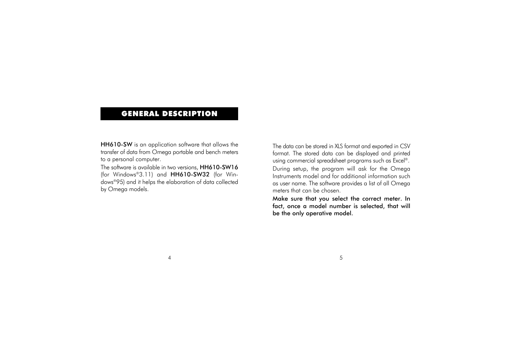## GENERAL DESCRIPTION

HH610-SW is an application software that allows the transfer of data from Omega portable and bench meters to a personal computer.

The software is available in two versions, HH610-SW16 (for Windows®3.11) and HH610-SW32 (for Windows®95) and it helps the elaboration of data collected by Omega models.

The data can be stored in XLS format and exported in CSV format. The stored data can be displayed and printed using commercial spreadsheet programs such as Excel®. During setup, the program will ask for the Omega Instruments model and for additional information such as user name. The software provides a list of all Omega meters that can be chosen.

Make sure that you select the correct meter. In fact, once a model number is selected, that will be the only operative model.

 $4 \overline{5}$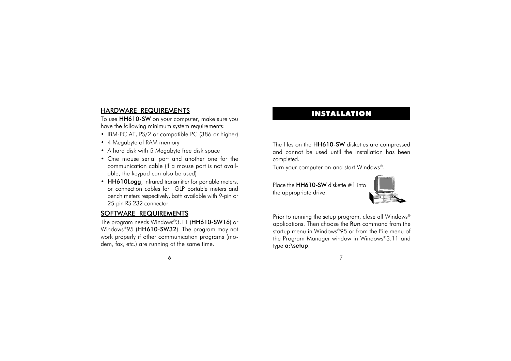#### HARDWARE REQUIREMENTS

To use HH610-SW on your computer, make sure you have the following minimum system requirements:

- IBM-PC AT, PS/2 or compatible PC (386 or higher)
- 4 Megabyte of RAM memory
- A hard disk with 5 Megabyte free disk space
- One mouse serial port and another one for the communication cable (if a mouse port is not available, the keypad can also be used)
- HH610Logg, infrared transmitter for portable meters, or connection cables for GLP portable meters and bench meters respectively, both available with 9-pin or 25-pin RS 232 connector.

#### SOFTWARE REQUIREMENTS

The program needs Windows®3.11 (HH610-SW16) or Windows®95 (HH610-SW32). The program may not work properly if other communication programs (modem, fax, etc.) are running at the same time.

## INSTALLATION

The files on the HH610-SW diskettes are compressed and cannot be used until the installation has been completed.

Turn your computer on and start Windows®.

Place the **HH610-SW** diskette #1 into the appropriate drive.



Prior to running the setup program, close all Windows® applications. Then choose the Run command from the startup menu in Windows®95 or from the File menu of the Program Manager window in Windows®3.11 and type a:\setup.

<sup>6</sup> 7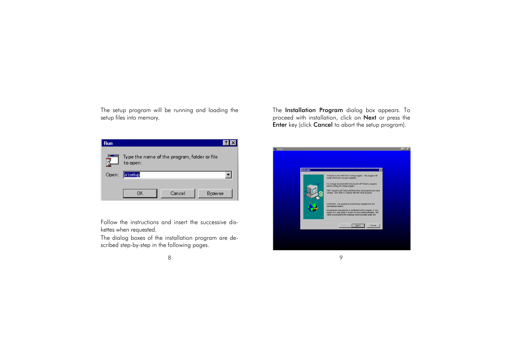The setup program will be running and loading the setup files into memory.

| <b>Run</b> |                                                          |
|------------|----------------------------------------------------------|
|            | Type the name of the program, folder or file<br>to open: |
| Open:      | a:\setup                                                 |
|            | Cancel<br><b>Browse</b><br>OΚ                            |

Follow the instructions and insert the successive diskettes when requested.

The dialog boxes of the installation program are described step-by-step in the following pages.

The Installation Program dialog box appears. To proceed with installation, click on Next or press the Enter key (click Cancel to abort the setup program).

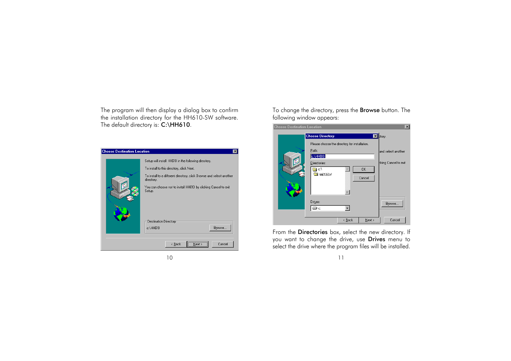The program will then display a dialog box to confirm the installation directory for the HH610-SW software. The default directory is: C:\HH610.

| <b>Choose Destination Location</b> | ×                                                                                  |  |
|------------------------------------|------------------------------------------------------------------------------------|--|
|                                    | Setup will install HH610 in the following directory.                               |  |
|                                    | To install to this directory, click Next.                                          |  |
|                                    | To install to a different directory, click Browse and select another<br>directory. |  |
| 農                                  | You can choose not to install HH610 by clicking Cancel to exit<br>Setup.           |  |
|                                    | Destination Directory<br>Browse<br>c:\HH610                                        |  |
|                                    | <br>Cancel<br>$\leq$ $\underline{B}$ ack<br>Next                                   |  |

To change the directory, press the Browse button. The following window appears:



From the Directories box, select the new directory. If you want to change the drive, use Drives menu to select the drive where the program files will be installed.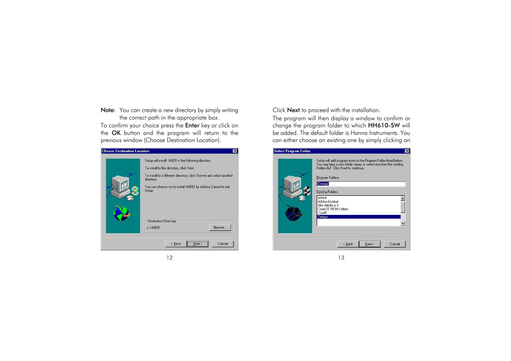Note: You can create a new directory by simply writing the correct path in the appropriate box. To confirm your choice press the **Enter** key or click on the OK button and the program will return to the previous window (Choose Destination Location).

| <b>Choose Destination Location</b> | $\mathsf{x}$                                                                       |
|------------------------------------|------------------------------------------------------------------------------------|
|                                    | Setup will install HH610 in the following directory.                               |
|                                    | To install to this directory, click Next.                                          |
|                                    | To install to a different directory, click Browse and select another<br>directory. |
|                                    | You can choose not to install HH610 by clicking Cancel to exit<br>Setup.           |
|                                    | Destination Directory<br>Browse<br>c:\HH610                                        |
|                                    | $\leq$ $\underline{B}$ ack<br>Cancel<br>Next                                       |

Click Next to proceed with the installation.

The program will then display a window to confirm or change the program folder to which HH610-SW will be added. The default folder is Hanna Instruments. You can either choose an existing one by simply clicking on

| <b>Select Program Folder</b> |                                                                                                                                                                                                                                                                                                                                       | $\vert x \vert$ |
|------------------------------|---------------------------------------------------------------------------------------------------------------------------------------------------------------------------------------------------------------------------------------------------------------------------------------------------------------------------------------|-----------------|
| وحجج المحمد                  | Setup will add program icons to the Program Folder listed below.<br>You may type a new folder name, or select one from the existing<br>Folders list. Click Next to continue.<br>Program Folders:<br>Omegal<br>Existing Folders:<br>Adobe<br>Adobe Acrobat<br>Alter Media n.3<br>Corel CD-ROM Utilities<br>Corel <sub>5</sub><br>Omega |                 |
|                              | Cancel<br>$N$ ext ><br>< <u>B</u> ack                                                                                                                                                                                                                                                                                                 |                 |
|                              |                                                                                                                                                                                                                                                                                                                                       |                 |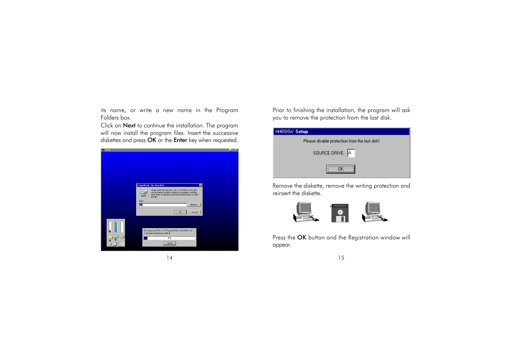its name, or write a new name in the Program Folders box.

Click on Next to continue the installation. The program will now install the program files. Insert the successive diskettes and press OK or the Enter key when requested.



Prior to finishing the installation, the program will ask you to remove the protection from the last disk.

| HH610SW Setup                                 |
|-----------------------------------------------|
| Please disable protection from the last disk! |
| SOURCE DRIVE: A                               |
|                                               |

Remove the diskette, remove the writing protection and reinsert the diskette.



Press the OK button and the Registration window will appear.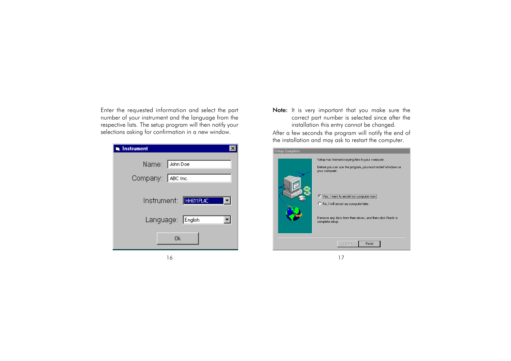Enter the requested information and select the part number of your instrument and the language from the respective lists. The setup program will then notify your selections asking for confirmation in a new window.

| Instrument            |
|-----------------------|
| Name: John Doe        |
| Company: ABC Inc.     |
|                       |
| Instrument: HH611PL4C |
| Language: English     |
| Ok                    |

Note: It is very important that you make sure the correct part number is selected since after the installation this entry cannot be changed.

After a few seconds the program will notify the end of the installation and may ask to restart the computer.

| <b>Setup Complete</b> |                                                                                                                                                                                                                                                                                                                |
|-----------------------|----------------------------------------------------------------------------------------------------------------------------------------------------------------------------------------------------------------------------------------------------------------------------------------------------------------|
|                       | Setup has finished copying files to your computer.<br>Before you can use the program, you must restart Windows or<br>your computer.<br>⊙ Yes, I want to restart my computer now.<br>C No, I will restart my computer later.<br>Remove any disks from their drives, and then click Finish to<br>complete setup. |
|                       | Finish<br>< Back                                                                                                                                                                                                                                                                                               |
|                       |                                                                                                                                                                                                                                                                                                                |

16 16 17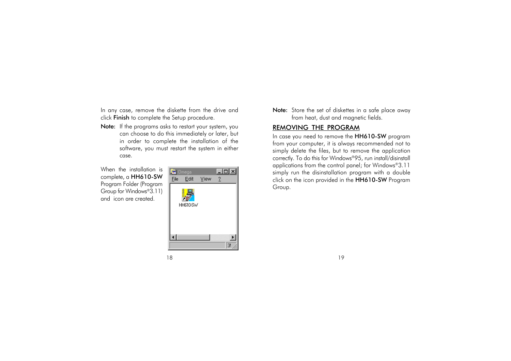In any case, remove the diskette from the drive and click Finish to complete the Setup procedure.

Note: If the programs asks to restart your system, you can choose to do this immediately or later, but in order to complete the installation of the software, you must restart the system in either case.

When the installation is complete, a HH610-SW Program Folder (Program Group for Windows®3.11) and icon are created.



Note: Store the set of diskettes in a safe place away from heat, dust and magnetic fields.

#### REMOVING THE PROGRAM

In case you need to remove the HH610-SW program from your computer, it is always recommended not to simply delete the files, but to remove the application correctly. To do this for Windows®95, run install/disinstall applications from the control panel; for Windows®3.11 simply run the disinstallation program with a double click on the icon provided in the HH610-SW Program Group.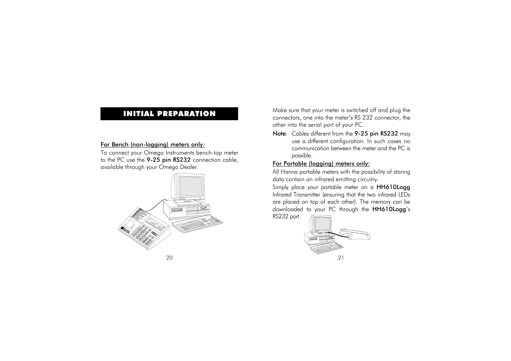## INITIAL PREPARATION

#### For Bench (non-logging) meters only:

To connect your Omega Instruments bench-top meter to the PC use the 9-25 pin RS232 connection cable, available through your Omega Dealer.



Make sure that your meter is switched off and plug the connectors, one into the meter's RS 232 connector, the other into the serial port of your PC.

Note: Cables different from the 9-25 pin RS232 may use a different configuration. In such cases no communication between the meter and the PC is possible.

#### For Portable (logging) meters only:

All Hanna portable meters with the possibility of storing data contain an infrared emitting circuitry.

Simply place your portable meter on a HH610Logg Infrared Transmitter (ensuring that the two infrared LEDs are placed on top of each other). The memory can be downloaded to your PC through the HH610Logg's RS232 port.

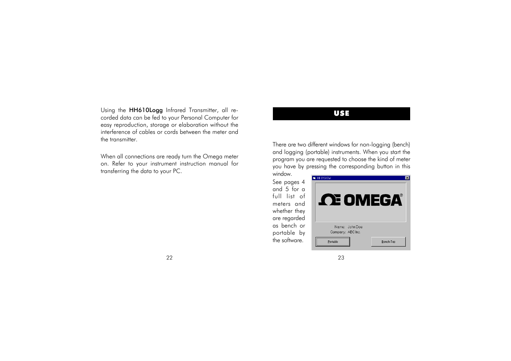Using the **HH610Logg** Infrared Transmitter, all re-<br>corded data can be fed to your Personal Computer for easy reproduction, storage or elaboration without the interference of cables or cords between the meter and the transmitter.

When all connections are ready turn the Omega meter on. Refer to your instrument instruction manual for transferring the data to your PC.

There are two different windows for non-logging (bench) and logging (portable) instruments. When you start the program you are requested to choose the kind of meter you have by pressing the corresponding button in this window.

See pages 4 and 5 for a full list of meters and whether they are regarded as bench or portable by the software.



#### 22 23 23 23 24 25 26 27 28 29 29 29 20 21 22 23 24 25 26 27 28 29 29 29 20 21 22 23 23 24 25 26 27 28 29 29 20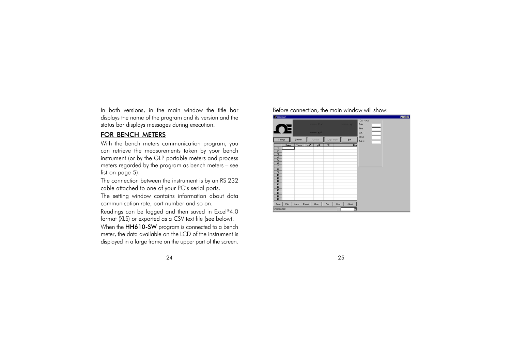In both versions, in the main window the title bar displays the name of the program and its version and the status bar displays messages during execution.

#### FOR BENCH METERS

With the bench meters communication program, you can retrieve the measurements taken by your bench instrument (or by the GLP portable meters and process meters regarded by the program as bench meters – see list on page 5).

The connection between the instrument is by an RS 232 cable attached to one of your PC's serial ports.

The setting window contains information about data communication rate, port number and so on.

Readings can be logged and then saved in Excel®4.0 format (XLS) or exported as a CSV text file (see below).

When the **HH610-SW** program is connected to a bench meter, the data available on the LCD of the instrument is displayed in a large frame on the upper part of the screen. Before connection, the main window will show:

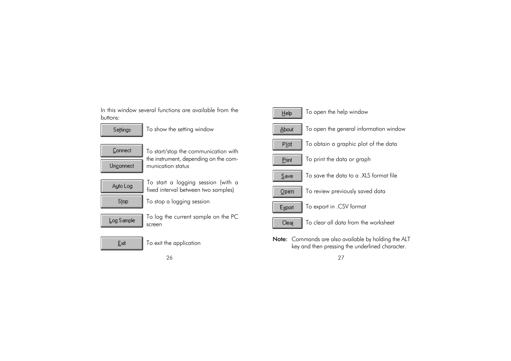In this window several functions are available from the **The Price of Help T**o open the help window<br>buttons:



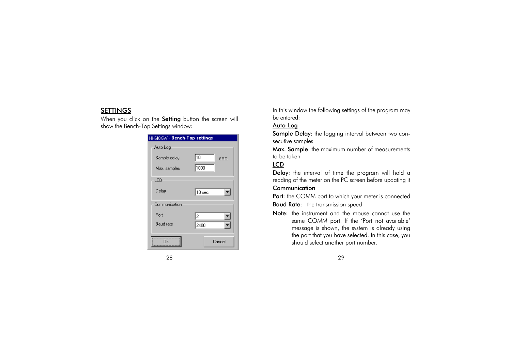#### SETTINGS

When you click on the Setting button the screen will show the Bench-Top Settings window:

| HH610-SW - Bench-Top settings |            |
|-------------------------------|------------|
| Auto Log                      |            |
| Sample delay                  | 10<br>sec. |
| Max. samples                  | 1000       |
| LCD                           |            |
| Delay                         | $10$ sec.  |
| Communication                 |            |
| Port                          | l2         |
| Baud rate                     | 2400       |
| Πk                            | Cancel     |

In this window the following settings of the program may be entered:

### Auto Log

Sample Delay: the logging interval between two consecutive samples

Max. Sample: the maximum number of measurements to be taken

## LCD

Delay: the interval of time the program will hold a reading of the meter on the PC screen before updating it **Communication** 

Port: the COMM port to which your meter is connected **Baud Rate:** the transmission speed

Note: the instrument and the mouse cannot use the same COMM port. If the 'Port not available' message is shown, the system is already using the port that you have selected. In this case, you should select another port number.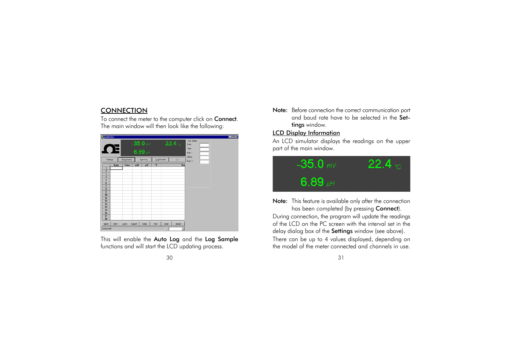#### **CONNECTION**

To connect the meter to the computer click on **Connect**. The main window will then look like the following:



This will enable the Auto Log and the Log Sample functions and will start the LCD updating process.

Note: Before connection the correct communication port and baud rate have to be selected in the Settings window.

#### LCD Display Information

An LCD simulator displays the readings on the upper part of the main window.



Note: This feature is available only after the connection has been completed (by pressing Connect).

During connection, the program will update the readings of the LCD on the PC screen with the interval set in the delay dialog box of the Settings window (see above). There can be up to 4 values displayed, depending on the model of the meter connected and channels in use.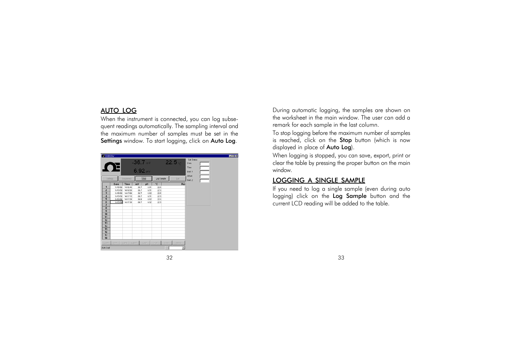#### AUTO LOG

When the instrument is connected, you can log subsequent readings automatically. The sampling interval and the maximum number of samples must be set in the Settings window. To start logging, click on Auto Log.



During automatic logging, the samples are shown on the worksheet in the main window. The user can add a remark for each sample in the last column.

To stop logging before the maximum number of samples is reached, click on the Stop button (which is now displayed in place of Auto Log).

When logging is stopped, you can save, export, print or clear the table by pressing the proper button on the main window.

#### LOGGING A SINGLE SAMPLE

If you need to log a single sample (even during auto logging) click on the Log Sample button and the current LCD reading will be added to the table.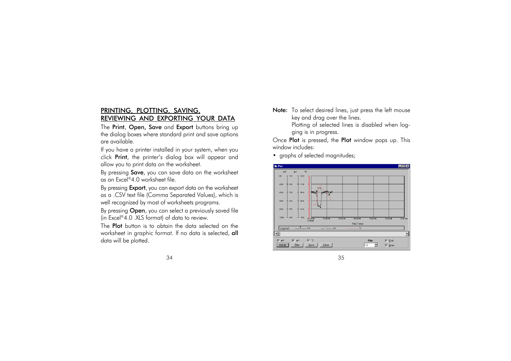### PRINTING, PLOTTING, SAVING, REVIEWING AND EXPORTING YOUR DATA

The Print, Open, Save and Export buttons bring up the dialog boxes where standard print and save options are available.

If you have a printer installed in your system, when you click Print, the printer's dialog box will appear and allow you to print data on the worksheet.

By pressing **Save**, you can save data on the worksheet as an Excel®4.0 worksheet file.

By pressing **Export**, you can export data on the worksheet as a .CSV text file (Comma Separated Values), which is well recognized by most of worksheets programs.

By pressing **Open**, you can select a previously saved file (in Excel®4.0 .XLS format) of data to review.

The **Plot** button is to obtain the data selected on the worksheet in graphic format. If no data is selected, all data will be plotted.

Note: To select desired lines, just press the left mouse key and drag over the lines. Plotting of selected lines is disabled when logging is in progress.

Once Plot is pressed, the Plot window pops up. This window includes:

• graphs of selected magnitudes;

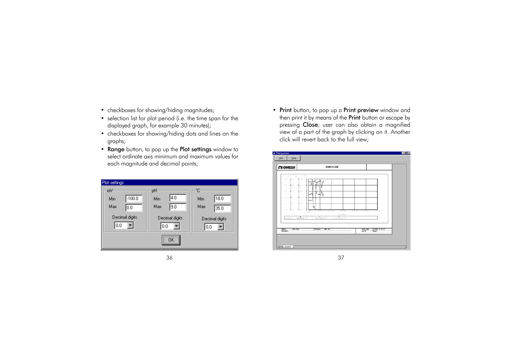- checkboxes for showing/hiding magnitudes;
- selection list for plot period (i.e. the time span for the displayed graph, for example 30 minutes);
- checkboxes for showing/hiding dots and lines on the graphs;
- Range button, to pop up the Plot settings window to select ordinate axis minimum and maximum values for each magnitude and decimal points;

| Plot settings   |                |                |
|-----------------|----------------|----------------|
| mV              | рH             | °Г.            |
| $-100.0$<br>Min | 4.0<br>Min     | 18.0<br>Min    |
| Max<br>10.0     | 9.0<br>Max     | Max<br>35.0    |
| Decimal digits  | Decimal digits | Decimal digits |
| 10.0            | 0.0            |                |
|                 | <br>0K<br>     |                |

36 37

• Print button, to pop up a Print preview window and then print it by means of the **Print** button or escape by pressing Close; user can also obtain a magnified view of a part of the graph by clicking on it. Another click will revert back to the full view;

| <b>CE OMEGA</b>                | HH610-SW                                                                                              |  |
|--------------------------------|-------------------------------------------------------------------------------------------------------|--|
| mV.<br>$\mu$ H                 | ×c.                                                                                                   |  |
| $-24.7$<br>$-11$               | $-11.5$                                                                                               |  |
| $-0.13 -$<br><b>HE 34</b>      | $+ 100$                                                                                               |  |
| $-11.3$<br>$+11$               | $+31.5$                                                                                               |  |
| $-50.3$<br>÷ u                 | $+ 100$                                                                                               |  |
| $-6.4.3$<br>$+1.5$             | * 115                                                                                                 |  |
| $-26.3$<br>de 13               | de sus                                                                                                |  |
|                                | di ist<br>15:30:54<br>15/24.54<br>15:20:54<br>15/22/54<br>1220.54<br>15:20:54<br>1/15/95<br>Plot Time |  |
| Legend                         | $$<br>$  -$<br>τ<br>$  \approx$                                                                       |  |
|                                |                                                                                                       |  |
| Name:<br>John Doe<br>Pernark : | ABC Inc.<br><b>Print Date:</b><br>1/15/98 15:38:11<br>Company:<br>Lot ID:<br>Sheet T                  |  |
|                                |                                                                                                       |  |

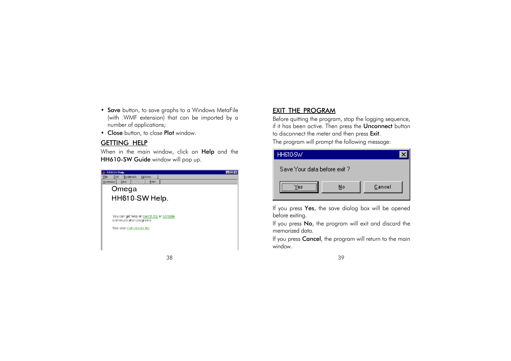- Save button, to save graphs to a Windows MetaFile (with .WMF extension) that can be imported by a number of applications;
- Close button, to close Plot window.

#### GETTING HELP

When in the main window, click on Help and the HH610-SW Guide window will pop up.

| HH610-SW Help                                                        |  |
|----------------------------------------------------------------------|--|
| ?<br><b>Bookmark</b><br>File<br>Edit<br>Options                      |  |
| Previous<br>Find<br>Print<br>Summary                                 |  |
| Omega                                                                |  |
| HH610-SW Help.                                                       |  |
|                                                                      |  |
| You can get help on bench-top or portable<br>communication programs. |  |
| See also Instruments list                                            |  |
|                                                                      |  |
|                                                                      |  |
|                                                                      |  |

## EXIT THE PROGRAM

Before quitting the program, stop the logging sequence, if it has been active. Then press the Unconnect button to disconnect the meter and then press Exit.

The program will prompt the following message:



If you press Yes, the save dialog box will be opened before exiting.

If you press No, the program will exit and discard the memorized data.

If you press Cancel, the program will return to the main window.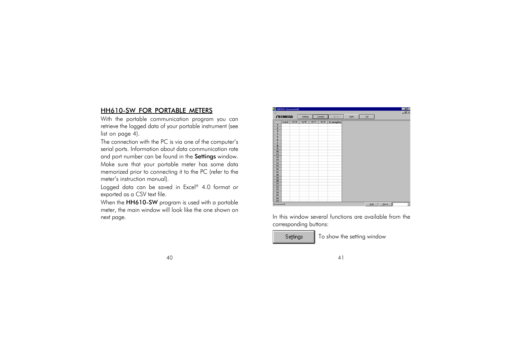### HH610-SW FOR PORTABLE METERS

With the portable communication program you can retrieve the logged data of your portable instrument (see list on page 4).

The connection with the PC is via one of the computer's serial ports. Information about data communication rate and port number can be found in the Settings window. Make sure that your portable meter has some data memorized prior to connecting it to the PC (refer to the meter's instruction manual).

Logged data can be saved in Excel® 4.0 format or exported as a CSV text file.

When the **HH610-SW** program is used with a portable meter, the main window will look like the one shown on next page. The next page. In this window several functions are available from the



corresponding buttons:



To show the setting window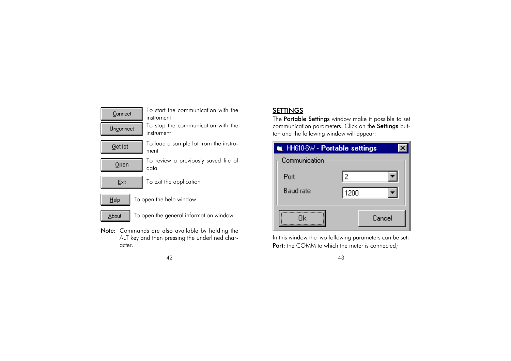

#### $42$  and  $43$

## SETTINGS

The **Portable Settings** window make it possible to set communication parameters. Click on the Settings button and the following window will appear:



ALT key and then pressing the underlined char-<br>acter. In this window the two following parameters can be set:<br>**Port**: the COMM to which the meter is connected;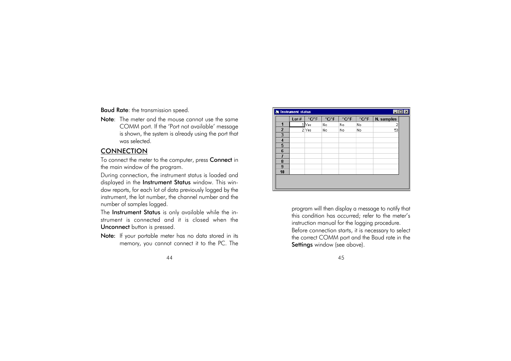Baud Rate: the transmission speed.

Note: The meter and the mouse cannot use the same COMM port. If the 'Port not available' message is shown, the system is already using the port that was selected.

### **CONNECTION**

To connect the meter to the computer, press **Connect** in the main window of the program.

During connection, the instrument status is loaded and displayed in the Instrument Status window. This window reports, for each lot of data previously logged by the instrument, the lot number, the channel number and the number of samples logged.

The Instrument Status is only available while the instrument is connected and it is closed when the Unconnect button is pressed.

Note: If your portable meter has no data stored in its memory, you cannot connect it to the PC. The

| 45 |  |
|----|--|
|    |  |

| $\Box$ D $\Box$<br><b>A</b> Instrument status |      |       |                     |       |                     |            |  |  |  |
|-----------------------------------------------|------|-------|---------------------|-------|---------------------|------------|--|--|--|
|                                               | Lot# | °C/°F | $°C$ <sup>*</sup> F | °C/°F | $°C$ <sup>*</sup> F | N. samples |  |  |  |
|                                               |      | Yes   | No                  | No    | No                  |            |  |  |  |
| $\overline{2}$                                |      | 2 Yes | No                  | No    | No                  | 53         |  |  |  |
| 3                                             |      |       |                     |       |                     |            |  |  |  |
| 4                                             |      |       |                     |       |                     |            |  |  |  |
| 5                                             |      |       |                     |       |                     |            |  |  |  |
| 6                                             |      |       |                     |       |                     |            |  |  |  |
| 7                                             |      |       |                     |       |                     |            |  |  |  |
| 8                                             |      |       |                     |       |                     |            |  |  |  |
| 9                                             |      |       |                     |       |                     |            |  |  |  |
| 10                                            |      |       |                     |       |                     |            |  |  |  |
|                                               |      |       |                     |       |                     |            |  |  |  |
|                                               |      |       |                     |       |                     |            |  |  |  |
|                                               |      |       |                     |       |                     |            |  |  |  |

program will then display a message to notify that this condition has occurred; refer to the meter's instruction manual for the logging procedure. Before connection starts, it is necessary to select the correct COMM port and the Baud rate in the Settings window (see above).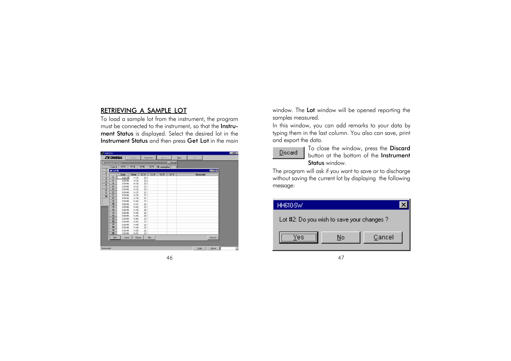### RETRIEVING A SAMPLE LOT

To load a sample lot from the instrument, the program must be connected to the instrument, so that the Instrument Status is displayed. Select the desired lot in the Instrument Status and then press Get Lot in the main

| <b>CE OMEGA</b>                                    |                                                    | Sejtings |        | Unconnect   | Get lot    |                  | <b>Open</b> | Exit           |              |
|----------------------------------------------------|----------------------------------------------------|----------|--------|-------------|------------|------------------|-------------|----------------|--------------|
| <b>X</b> Instrument status                         |                                                    |          |        |             |            | $ \Box$ $\times$ |             |                |              |
|                                                    | Lot # $^{\circ}$ C <sup><math>\circ</math></sup> F | $°C$ F   | $°C$ F | °C/F        | N. samples |                  |             |                |              |
| <b>St Lot #2</b>                                   |                                                    |          |        |             |            |                  |             |                | <b>HOK</b>   |
| $\overline{\mathbf{z}}$<br>$\overline{\mathbf{3}}$ | Date                                               | Time     | °C/°F  | °C/°F       | °C/°F      | °C/°F            |             | <b>Remarks</b> |              |
| 1<br>$\overline{\mathbf{4}}$                       | 3/28/98                                            | 14:32    | 22.2   |             |            |                  |             |                |              |
| $\mathbf{z}$                                       | 3/28/98                                            | 14:33    | 22.2   |             |            |                  |             |                |              |
| 3                                                  | 3/28/98                                            | 14:34    | 22.2   |             |            |                  |             |                |              |
| $\overline{\mathbf{4}}$                            | 3/28/98                                            | 14:35    | 22.1   |             |            |                  |             |                |              |
| 5                                                  | 3/28/98                                            | 14:36    | 22.1   |             |            |                  |             |                |              |
| 6                                                  | 3/28/98                                            | 14:37    | 22.1   |             |            |                  |             |                |              |
| 7<br>10                                            | 3/28/98                                            | 14.38    | 22.1   |             |            |                  |             |                |              |
| 8                                                  | 3/28/98                                            | 14:39    | 22.1   |             |            |                  |             |                |              |
| $\mathbf{a}$                                       | 3/28/98                                            | 14:40    | 22.1   |             |            |                  |             |                |              |
| 10                                                 | 3/28/98                                            | 14:41    | 22.1   |             |            |                  |             |                |              |
| 11                                                 | 3/28/98                                            | 14:42    | 22.1   |             |            |                  |             |                |              |
| 12                                                 | 3/28/98                                            | 14:43    | 22.1   |             |            |                  |             |                |              |
| 13                                                 | 3/28/38                                            | 14:44    | 22.1   |             |            |                  |             |                |              |
| 14                                                 | 3/28/98                                            | 14:45    | 22.1   |             |            |                  |             |                |              |
| 15                                                 | 3/28/98                                            | 14:46    | 22.1   |             |            |                  |             |                |              |
| 16                                                 | 3/28/98                                            | 14:47    | 22.1   |             |            |                  |             |                |              |
| 17                                                 | 3/28/98                                            | 14:48    | 22.1   |             |            |                  |             |                |              |
| 18                                                 | 3/28/98                                            | 14:49    | 22.1   |             |            |                  |             |                |              |
| 19                                                 | 3/28/98                                            | 14:50    | 22.1   |             |            |                  |             |                |              |
| 20                                                 | 3/28/98                                            | 14:51    | 22.1   |             |            |                  |             |                |              |
| <b>Pint</b>                                        | Save                                               | Export   |        | <b>Plot</b> |            |                  |             |                | Discard      |
|                                                    |                                                    |          |        |             |            |                  |             |                |              |
|                                                    |                                                    |          |        |             |            |                  |             |                |              |
| Connected                                          |                                                    |          |        |             |            |                  |             | Help           | <b>About</b> |

46 47

window. The Lot window will be opened reporting the samples measured.

In this window, you can add remarks to your data by typing them in the last column. You also can save, print and export the data.



To close the window, press the Discard button at the bottom of the Instrument Status window.

The program will ask if you want to save or to discharge without saving the current lot by displaying the following message:

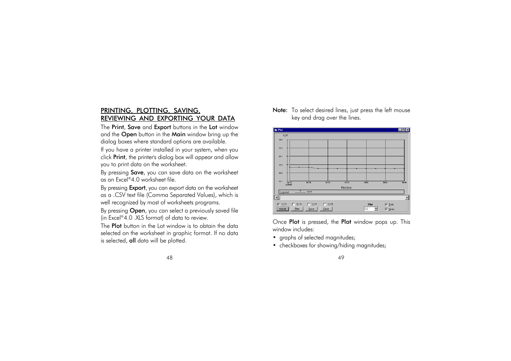### PRINTING, PLOTTING, SAVING, REVIEWING AND EXPORTING YOUR DATA

The Print, Save and Export buttons in the Lot window and the Open button in the Main window bring up the dialog boxes where standard options are available.

If you have a printer installed in your system, when you click Print, the printer's dialog box will appear and allow you to print data on the worksheet.

By pressing Save, you can save data on the worksheet as an Excel®4.0 worksheet file.

By pressing **Export**, you can export data on the worksheet as a .CSV text file (Comma Separated Values), which is well recognized by most of worksheets programs.

By pressing **Open**, you can select a previously saved file (in Excel®4.0 .XLS format) of data to review.

The **Plot** button in the Lot window is to obtain the data selected on the worksheet in graphic format. If no data is selected, all data will be plotted.

Note: To select desired lines, just press the left mouse key and drag over the lines.



Once Plot is pressed, the Plot window pops up. This window includes:

- graphs of selected magnitudes;
- checkboxes for showing/hiding magnitudes;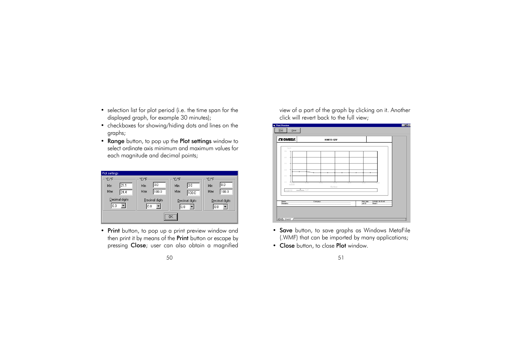- selection list for plot period (i.e. the time span for the displayed graph, for example 30 minutes);
- checkboxes for showing/hiding dots and lines on the graphs;
- Range button, to pop up the Plot settings window to select ordinate axis minimum and maximum values for each magnitude and decimal points;

| Plot settings               |                |                |                |  |  |  |  |  |  |
|-----------------------------|----------------|----------------|----------------|--|--|--|--|--|--|
| °C/°F                       | °C/°F          | °C/°F          | °C/°F          |  |  |  |  |  |  |
| 21.1<br>Min                 | lo.o<br>Min    | lo.o<br>Min    | lo.o<br>Min    |  |  |  |  |  |  |
| Max<br>24.4                 | 100.0<br>Max   | Max<br>1100.0  | 100.0<br>Max   |  |  |  |  |  |  |
| Decimal digits              | Decimal digits | Decimal digits | Decimal digits |  |  |  |  |  |  |
| l 0.0                       | 0.0            | 0.0            | l 0.0          |  |  |  |  |  |  |
| <br>QK<br>,,,,,,,,,,,,,,,,, |                |                |                |  |  |  |  |  |  |

• Print button, to pop up a print preview window and then print it by means of the Print button or escape by pressing Close; user can also obtain a magnified view of a part of the graph by clicking on it. Another click will revert back to the full view;



- Save button, to save graphs as Windows MetaFile (.WMF) that can be imported by many applications;
- Close button, to close Plot window.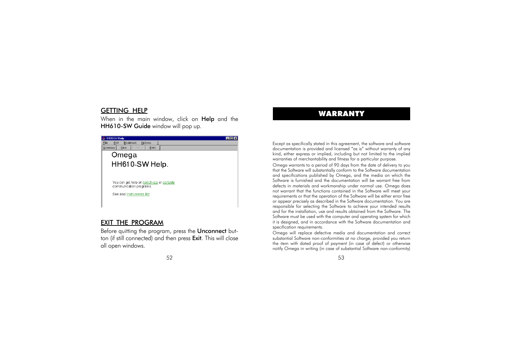# WARRANTY GETTING HELP

When in the main window, click on **Help** and the HH610-SW Guide window will pop up.

| HH610-SW Help                                                        |  |
|----------------------------------------------------------------------|--|
| ?<br>File<br>Edit<br><b>Bookmark</b><br>Options                      |  |
| Previous<br>Find<br>Print<br>Summary                                 |  |
| Omega                                                                |  |
| HH610-SW Help.                                                       |  |
|                                                                      |  |
|                                                                      |  |
| You can get help on bench-top or portable<br>communication programs. |  |
| See also Instruments list                                            |  |
|                                                                      |  |
|                                                                      |  |

#### EXIT THE PROGRAM

Before quitting the program, press the Unconnect button (if still connected) and then press Exit. This will close all open windows.

Except as specifically stated in this agreement, the software and software documentation is provided and licensed "as is" without warranty of any kind, either express or implied, including but not limited to the implied warranties of merchantability and fitness for a particular purpose.

Omega warrants to a period of 90 days from the date of delivery to you that the Software will substantially conform to the Software documentation and specifications published by Omega, and the media on which the Software is furnished and the documentation will be warrant free from defects in materials and workmanship under normal use. Omega does not warrant that the functions contained in the Software will meet your requirements or that the operation of the Software will be either error free or appear precisely as described in the Software documentation. You are responsible for selecting the Software to achieve your intended results and for the installation, use and results obtained from the Software. The Software must be used with the computer and operating system for which it is designed, and in accordance with the Software documentation and specification requirements.

Omega will replace defective media and documentation and correct substantial Software non-conformities at no charge, provided you return the item with dated proof of payment (in case of defect) or otherwise notify Omega in writing (in case of substantial Software non-conformity)